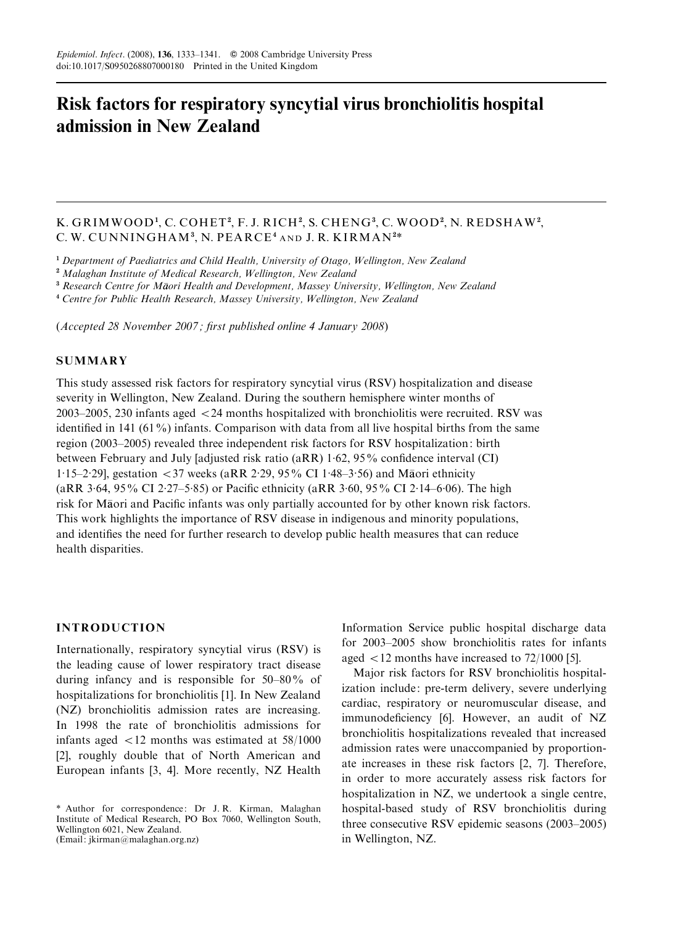# Risk factors for respiratory syncytial virus bronchiolitis hospital admission in New Zealand

# K. GRIMWOOD<sup>1</sup>, C. COHET<sup>2</sup>, F. J. RICH<sup>2</sup>, S. CHENG<sup>3</sup>, C. WOOD<sup>2</sup>, N. REDSHAW<sup>2</sup>, C.W. CUNNINGHAM<sup>3</sup>, N. PEARCE<sup>4</sup> AND J. R. KIRMAN<sup>2\*</sup>

<sup>1</sup> Department of Paediatrics and Child Health, University of Otago, Wellington, New Zealand

<sup>2</sup> Malaghan Institute of Medical Research, Wellington, New Zealand

<sup>3</sup> Research Centre for Māori Health and Development, Massey University, Wellington, New Zealand

<sup>4</sup> Centre for Public Health Research, Massey University, Wellington, New Zealand

(Accepted 28 November 2007 ; first published online 4 January 2008)

## **SUMMARY**

This study assessed risk factors for respiratory syncytial virus (RSV) hospitalization and disease severity in Wellington, New Zealand. During the southern hemisphere winter months of 2003–2005, 230 infants aged <24 months hospitalized with bronchiolitis were recruited. RSV was identified in 141 (61%) infants. Comparison with data from all live hospital births from the same region (2003–2005) revealed three independent risk factors for RSV hospitalization: birth between February and July [adjusted risk ratio (aRR) 1. 62, 95% confidence interval (CI) 1. 15–2. 29], gestation <37 weeks (aRR 2. 29, 95% CI 1. 48–3. 56) and Maori ethnicity (aRR 3. 64, 95% CI 2. 27–5. 85) or Pacific ethnicity (aRR 3. 60, 95% CI 2. 14–6. 06). The high risk for Maori and Pacific infants was only partially accounted for by other known risk factors. This work highlights the importance of RSV disease in indigenous and minority populations, and identifies the need for further research to develop public health measures that can reduce health disparities.

#### INTRODUCTION

Internationally, respiratory syncytial virus (RSV) is the leading cause of lower respiratory tract disease during infancy and is responsible for 50–80% of hospitalizations for bronchiolitis [1]. In New Zealand (NZ) bronchiolitis admission rates are increasing. In 1998 the rate of bronchiolitis admissions for infants aged  $\langle 12 \text{ months} \rangle$  was estimated at 58/1000 [2], roughly double that of North American and European infants [3, 4]. More recently, NZ Health Information Service public hospital discharge data for 2003–2005 show bronchiolitis rates for infants aged  $\langle 12 \text{ months have increased to } 72/1000 \text{ [5]}$ .

Major risk factors for RSV bronchiolitis hospitalization include: pre-term delivery, severe underlying cardiac, respiratory or neuromuscular disease, and immunodeficiency [6]. However, an audit of NZ bronchiolitis hospitalizations revealed that increased admission rates were unaccompanied by proportionate increases in these risk factors [2, 7]. Therefore, in order to more accurately assess risk factors for hospitalization in NZ, we undertook a single centre, hospital-based study of RSV bronchiolitis during three consecutive RSV epidemic seasons (2003–2005) in Wellington, NZ.

<sup>\*</sup> Author for correspondence: Dr J. R. Kirman, Malaghan Institute of Medical Research, PO Box 7060, Wellington South, Wellington 6021, New Zealand. (Email: jkirman@malaghan.org.nz)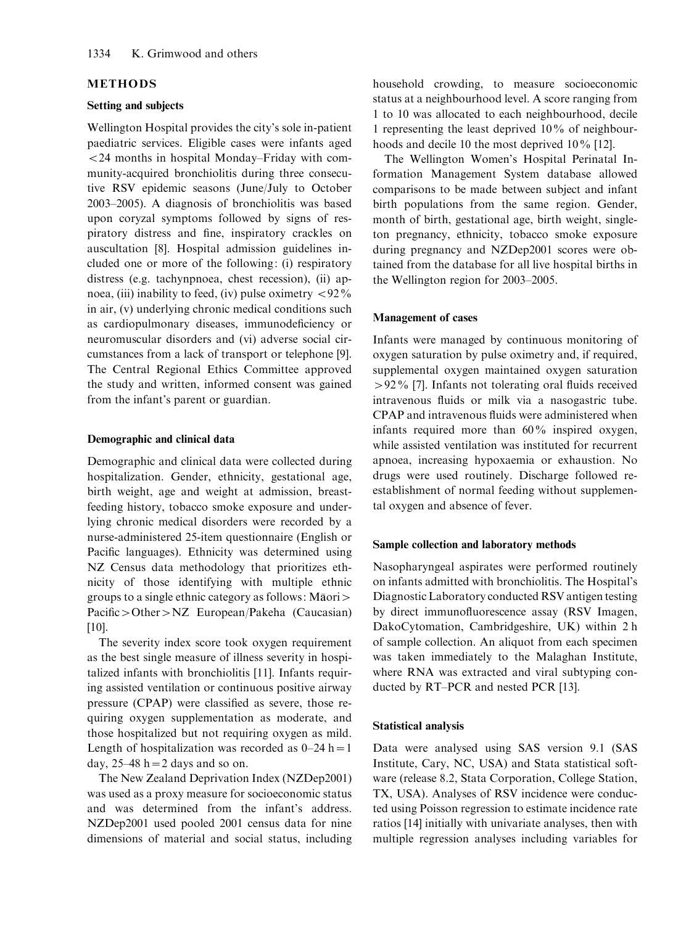#### METHODS

#### Setting and subjects

Wellington Hospital provides the city's sole in-patient paediatric services. Eligible cases were infants aged <24 months in hospital Monday–Friday with community-acquired bronchiolitis during three consecutive RSV epidemic seasons (June/July to October 2003–2005). A diagnosis of bronchiolitis was based upon coryzal symptoms followed by signs of respiratory distress and fine, inspiratory crackles on auscultation [8]. Hospital admission guidelines included one or more of the following: (i) respiratory distress (e.g. tachynpnoea, chest recession), (ii) apnoea, (iii) inability to feed, (iv) pulse oximetry  $\langle 92\% \rangle$ in air, (v) underlying chronic medical conditions such as cardiopulmonary diseases, immunodeficiency or neuromuscular disorders and (vi) adverse social circumstances from a lack of transport or telephone [9]. The Central Regional Ethics Committee approved the study and written, informed consent was gained from the infant's parent or guardian.

#### Demographic and clinical data

Demographic and clinical data were collected during hospitalization. Gender, ethnicity, gestational age, birth weight, age and weight at admission, breastfeeding history, tobacco smoke exposure and underlying chronic medical disorders were recorded by a nurse-administered 25-item questionnaire (English or Pacific languages). Ethnicity was determined using NZ Census data methodology that prioritizes ethnicity of those identifying with multiple ethnic groups to a single ethnic category as follows: Maori> Pacific>Other>NZ European/Pakeha (Caucasian) [10].

The severity index score took oxygen requirement as the best single measure of illness severity in hospitalized infants with bronchiolitis [11]. Infants requiring assisted ventilation or continuous positive airway pressure (CPAP) were classified as severe, those requiring oxygen supplementation as moderate, and those hospitalized but not requiring oxygen as mild. Length of hospitalization was recorded as  $0-24$  h = 1 day,  $25-48$  h = 2 days and so on.

The New Zealand Deprivation Index (NZDep2001) was used as a proxy measure for socioeconomic status and was determined from the infant's address. NZDep2001 used pooled 2001 census data for nine dimensions of material and social status, including household crowding, to measure socioeconomic status at a neighbourhood level. A score ranging from 1 to 10 was allocated to each neighbourhood, decile 1 representing the least deprived 10% of neighbourhoods and decile 10 the most deprived 10% [12].

The Wellington Women's Hospital Perinatal Information Management System database allowed comparisons to be made between subject and infant birth populations from the same region. Gender, month of birth, gestational age, birth weight, singleton pregnancy, ethnicity, tobacco smoke exposure during pregnancy and NZDep2001 scores were obtained from the database for all live hospital births in the Wellington region for 2003–2005.

#### Management of cases

Infants were managed by continuous monitoring of oxygen saturation by pulse oximetry and, if required, supplemental oxygen maintained oxygen saturation >92% [7]. Infants not tolerating oral fluids received intravenous fluids or milk via a nasogastric tube. CPAP and intravenous fluids were administered when infants required more than 60% inspired oxygen, while assisted ventilation was instituted for recurrent apnoea, increasing hypoxaemia or exhaustion. No drugs were used routinely. Discharge followed reestablishment of normal feeding without supplemental oxygen and absence of fever.

#### Sample collection and laboratory methods

Nasopharyngeal aspirates were performed routinely on infants admitted with bronchiolitis. The Hospital's Diagnostic Laboratory conducted RSV antigen testing by direct immunofluorescence assay (RSV Imagen, DakoCytomation, Cambridgeshire, UK) within 2 h of sample collection. An aliquot from each specimen was taken immediately to the Malaghan Institute, where RNA was extracted and viral subtyping conducted by RT–PCR and nested PCR [13].

#### Statistical analysis

Data were analysed using SAS version 9.1 (SAS Institute, Cary, NC, USA) and Stata statistical software (release 8.2, Stata Corporation, College Station, TX, USA). Analyses of RSV incidence were conducted using Poisson regression to estimate incidence rate ratios [14] initially with univariate analyses, then with multiple regression analyses including variables for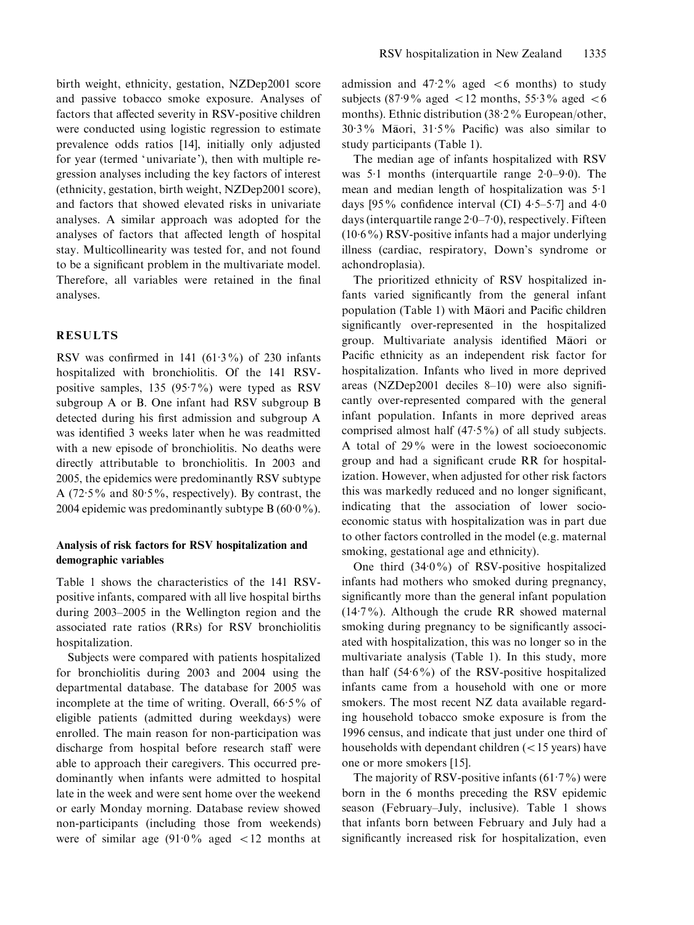birth weight, ethnicity, gestation, NZDep2001 score and passive tobacco smoke exposure. Analyses of factors that affected severity in RSV-positive children were conducted using logistic regression to estimate prevalence odds ratios [14], initially only adjusted for year (termed 'univariate'), then with multiple regression analyses including the key factors of interest (ethnicity, gestation, birth weight, NZDep2001 score), and factors that showed elevated risks in univariate analyses. A similar approach was adopted for the analyses of factors that affected length of hospital stay. Multicollinearity was tested for, and not found to be a significant problem in the multivariate model. Therefore, all variables were retained in the final analyses.

#### RESULTS

RSV was confirmed in  $141$  ( $61.3\%$ ) of 230 infants hospitalized with bronchiolitis. Of the 141 RSVpositive samples, 135 (95. 7%) were typed as RSV subgroup A or B. One infant had RSV subgroup B detected during his first admission and subgroup A was identified 3 weeks later when he was readmitted with a new episode of bronchiolitis. No deaths were directly attributable to bronchiolitis. In 2003 and 2005, the epidemics were predominantly RSV subtype A (72. 5% and 80. 5%, respectively). By contrast, the 2004 epidemic was predominantly subtype  $B(600\%)$ .

## Analysis of risk factors for RSV hospitalization and demographic variables

Table 1 shows the characteristics of the 141 RSVpositive infants, compared with all live hospital births during 2003–2005 in the Wellington region and the associated rate ratios (RRs) for RSV bronchiolitis hospitalization.

Subjects were compared with patients hospitalized for bronchiolitis during 2003 and 2004 using the departmental database. The database for 2005 was incomplete at the time of writing. Overall, 66. 5% of eligible patients (admitted during weekdays) were enrolled. The main reason for non-participation was discharge from hospital before research staff were able to approach their caregivers. This occurred predominantly when infants were admitted to hospital late in the week and were sent home over the weekend or early Monday morning. Database review showed non-participants (including those from weekends) were of similar age (91. 0% aged <12 months at

admission and  $47.2\%$  aged  $\lt 6$  months) to study subjects (87.9% aged  $\lt 12$  months, 55.3% aged  $\lt 6$ months). Ethnic distribution (38.2% European/other, 30. 3% Maori, 31. 5% Pacific) was also similar to study participants (Table 1).

The median age of infants hospitalized with RSV was 5.1 months (interquartile range 2.0–9.0). The mean and median length of hospitalization was 5. 1 days [95% confidence interval (CI)  $4.5-5.7$ ] and  $4.0$ days (interquartile range 2. 0–7. 0), respectively. Fifteen (10. 6%) RSV-positive infants had a major underlying illness (cardiac, respiratory, Down's syndrome or achondroplasia).

The prioritized ethnicity of RSV hospitalized infants varied significantly from the general infant population (Table 1) with Maori and Pacific children significantly over-represented in the hospitalized group. Multivariate analysis identified Maori or Pacific ethnicity as an independent risk factor for hospitalization. Infants who lived in more deprived areas (NZDep2001 deciles 8–10) were also significantly over-represented compared with the general infant population. Infants in more deprived areas comprised almost half (47. 5%) of all study subjects. A total of 29% were in the lowest socioeconomic group and had a significant crude RR for hospitalization. However, when adjusted for other risk factors this was markedly reduced and no longer significant, indicating that the association of lower socioeconomic status with hospitalization was in part due to other factors controlled in the model (e.g. maternal smoking, gestational age and ethnicity).

One third (34. 0%) of RSV-positive hospitalized infants had mothers who smoked during pregnancy, significantly more than the general infant population (14. 7%). Although the crude RR showed maternal smoking during pregnancy to be significantly associated with hospitalization, this was no longer so in the multivariate analysis (Table 1). In this study, more than half (54. 6%) of the RSV-positive hospitalized infants came from a household with one or more smokers. The most recent NZ data available regarding household tobacco smoke exposure is from the 1996 census, and indicate that just under one third of households with dependant children (<15 years) have one or more smokers [15].

The majority of RSV-positive infants  $(61.7%)$  were born in the 6 months preceding the RSV epidemic season (February–July, inclusive). Table 1 shows that infants born between February and July had a significantly increased risk for hospitalization, even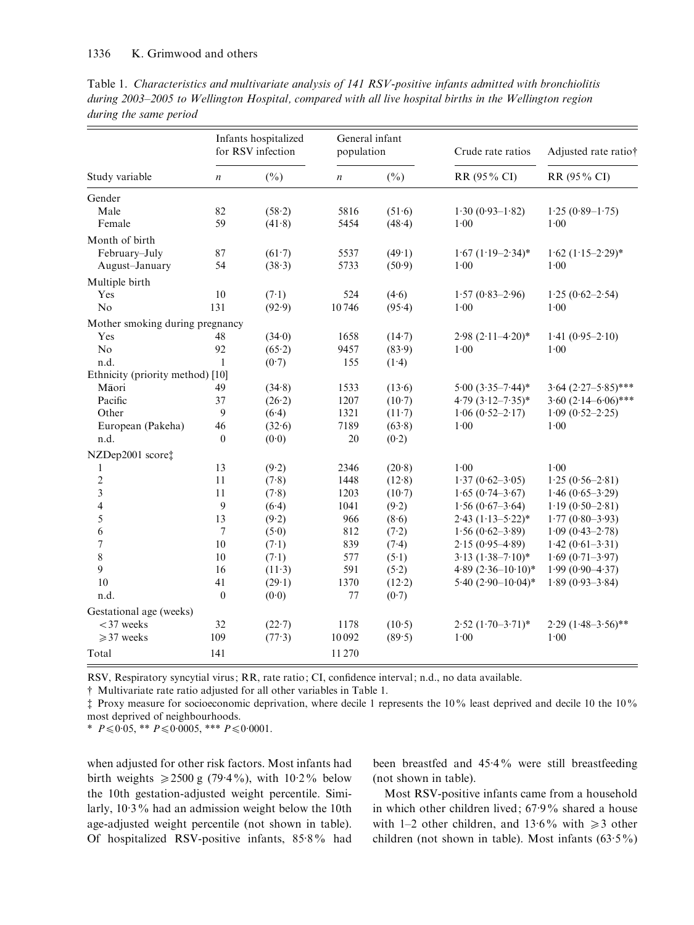|                        |  |  | Table 1. Characteristics and multivariate analysis of 141 RSV-positive infants admitted with bronchiolitis |
|------------------------|--|--|------------------------------------------------------------------------------------------------------------|
|                        |  |  | during 2003–2005 to Wellington Hospital, compared with all live hospital births in the Wellington region   |
| during the same period |  |  |                                                                                                            |

|                                  | Infants hospitalized<br>for RSV infection |          | General infant<br>population |          | Crude rate ratios        | Adjusted rate ratio†       |  |
|----------------------------------|-------------------------------------------|----------|------------------------------|----------|--------------------------|----------------------------|--|
| Study variable                   | $\boldsymbol{n}$                          | $(\%)$   | $\boldsymbol{n}$             | $(\%)$   | RR (95% CI)              | RR (95% CI)                |  |
| Gender                           |                                           |          |                              |          |                          |                            |  |
| Male                             | 82                                        | (58.2)   | 5816                         | (51.6)   | $1.30(0.93-1.82)$        | $1.25(0.89-1.75)$          |  |
| Female                           | 59                                        | (41.8)   | 5454                         | (48.4)   | 1.00                     | 1.00                       |  |
| Month of birth                   |                                           |          |                              |          |                          |                            |  |
| February-July                    | 87                                        | (61.7)   | 5537                         | (49.1)   | $1.67$ $(1.19 - 2.34)^*$ | $1.62 (1.15 - 2.29)^*$     |  |
| August-January                   | 54                                        | (38.3)   | 5733                         | (50.9)   | 1.00                     | 1.00                       |  |
| Multiple birth                   |                                           |          |                              |          |                          |                            |  |
| Yes                              | 10                                        | (7.1)    | 524                          | (4.6)    | $1.57(0.83 - 2.96)$      | $1.25(0.62 - 2.54)$        |  |
| No                               | 131                                       | (92.9)   | 10746                        | (95.4)   | 1.00                     | 1.00                       |  |
| Mother smoking during pregnancy  |                                           |          |                              |          |                          |                            |  |
| Yes                              | 48                                        | (34.0)   | 1658                         | (14.7)   | $2.98 (2.11 - 4.20)^*$   | $1.41 (0.95 - 2.10)$       |  |
| N <sub>o</sub>                   | 92                                        | (65.2)   | 9457                         | (83.9)   | 1.00                     | 1.00                       |  |
| n.d.                             | $\mathbf{1}$                              | (0.7)    | 155                          | (1.4)    |                          |                            |  |
| Ethnicity (priority method) [10] |                                           |          |                              |          |                          |                            |  |
| Māori                            | 49                                        | (34.8)   | 1533                         | (13.6)   | $5.00(3.35 - 7.44)*$     | $3.64$ $(2.27 - 5.85)$ *** |  |
| Pacific                          | 37                                        | (26.2)   | 1207                         | $(10-7)$ | $4.79$ $(3.12 - 7.35)^*$ | $3.60 (2.14 - 6.06)$ ***   |  |
| Other                            | 9                                         | (6.4)    | 1321                         | (11.7)   | $1.06(0.52 - 2.17)$      | $1.09$ $(0.52 - 2.25)$     |  |
| European (Pakeha)                | 46                                        | (32.6)   | 7189                         | (63.8)   | 1.00                     | 1.00                       |  |
| n.d.                             | $\theta$                                  | (0.0)    | 20                           | (0.2)    |                          |                            |  |
| NZDep2001 score‡                 |                                           |          |                              |          |                          |                            |  |
| 1                                | 13                                        | (9.2)    | 2346                         | (20.8)   | 1.00                     | 1.00                       |  |
| $\overline{c}$                   | 11                                        | (7.8)    | 1448                         | (12.8)   | $1.37(0.62 - 3.05)$      | $1.25(0.56-2.81)$          |  |
| 3                                | 11                                        | (7.8)    | 1203                         | (10.7)   | $1.65(0.74 - 3.67)$      | $1.46(0.65 - 3.29)$        |  |
| $\overline{\mathbf{4}}$          | 9                                         | (6.4)    | 1041                         | (9.2)    | $1.56(0.67-3.64)$        | $1.19(0.50-2.81)$          |  |
| 5                                | 13                                        | (9.2)    | 966                          | (8.6)    | $2.43$ $(1.13 - 5.22)$ * | $1.77(0.80 - 3.93)$        |  |
| 6                                | $\tau$                                    | (5.0)    | 812                          | (7.2)    | $1.56(0.62 - 3.89)$      | $1.09(0.43 - 2.78)$        |  |
| $\sqrt{ }$                       | $10\,$                                    | (7.1)    | 839                          | (7.4)    | $2.15(0.95-4.89)$        | $1.42(0.61-3.31)$          |  |
| 8                                | 10                                        | (7.1)    | 577                          | (5.1)    | $3.13(1.38 - 7.10)*$     | $1.69(0.71 - 3.97)$        |  |
| 9                                | 16                                        | $(11-3)$ | 591                          | (5.2)    | 4.89 $(2.36 - 10.10)*$   | $1.99(0.90 - 4.37)$        |  |
| 10                               | 41                                        | (29.1)   | 1370                         | (12.2)   | 5.40 $(2.90-10.04)$ *    | $1.89(0.93 - 3.84)$        |  |
| n.d.                             | $\boldsymbol{0}$                          | (0.0)    | 77                           | (0.7)    |                          |                            |  |
| Gestational age (weeks)          |                                           |          |                              |          |                          |                            |  |
| $<$ 37 weeks                     | 32                                        | (22.7)   | 1178                         | (10.5)   | $2.52 (1.70 - 3.71)^*$   | $2.29$ $(1.48 - 3.56)$ **  |  |
| $\geqslant$ 37 weeks             | 109                                       | (77.3)   | 10092                        | (89.5)   | $1.00\,$                 | 1.00                       |  |
| Total                            | 141                                       |          | 11270                        |          |                          |                            |  |

RSV, Respiratory syncytial virus; RR, rate ratio; CI, confidence interval; n.d., no data available.

# Multivariate rate ratio adjusted for all other variables in Table 1.

 $\ddagger$  Proxy measure for socioeconomic deprivation, where decile 1 represents the 10% least deprived and decile 10 the 10% most deprived of neighbourhoods.

\*  $P \le 0.05$ , \*\*  $P \le 0.0005$ , \*\*\*  $P \le 0.0001$ .

when adjusted for other risk factors. Most infants had birth weights  $\geq 2500$  g (79.4%), with 10.2% below the 10th gestation-adjusted weight percentile. Similarly, 10. 3% had an admission weight below the 10th age-adjusted weight percentile (not shown in table). Of hospitalized RSV-positive infants, 85.8% had

been breastfed and 45. 4% were still breastfeeding (not shown in table).

Most RSV-positive infants came from a household in which other children lived; 67. 9% shared a house with 1-2 other children, and 13.6% with  $\geq 3$  other children (not shown in table). Most infants  $(63.5\%)$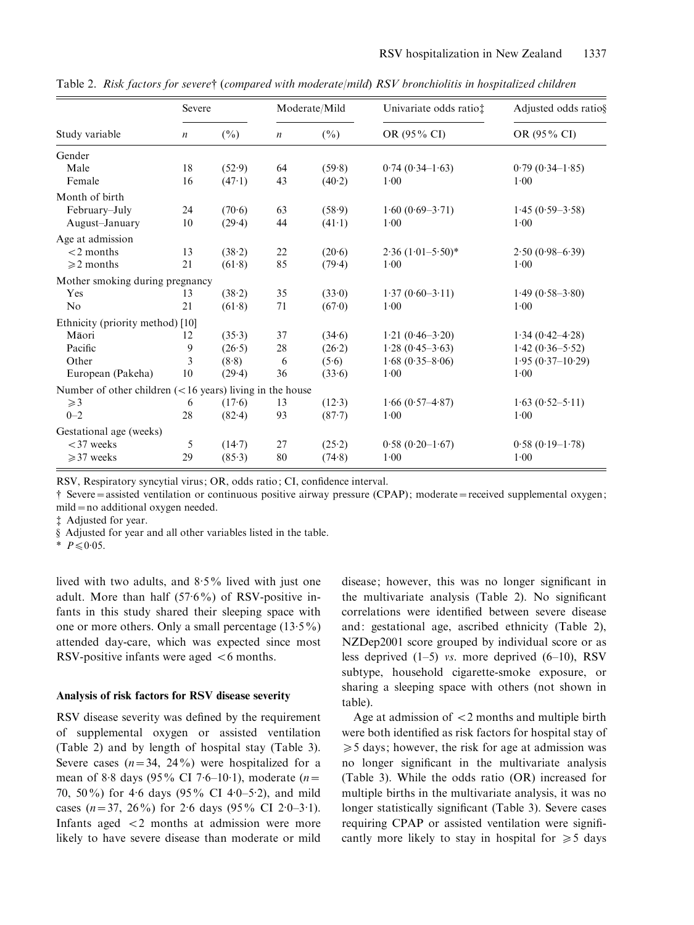|                                                             | Severe           |        | Moderate/Mild    |               | Univariate odds ratio; | Adjusted odds ratio§ |
|-------------------------------------------------------------|------------------|--------|------------------|---------------|------------------------|----------------------|
| Study variable                                              | $\boldsymbol{n}$ | $(\%)$ | $\boldsymbol{n}$ | $(\%)$        | OR (95% CI)            | OR (95% CI)          |
| Gender                                                      |                  |        |                  |               |                        |                      |
| Male                                                        | 18               | (52.9) | 64               | (59.8)        | $0.74(0.34-1.63)$      | $0.79(0.34-1.85)$    |
| Female                                                      | 16               | (47.1) | 43               | (40.2)        | 1.00                   | 1.00                 |
| Month of birth                                              |                  |        |                  |               |                        |                      |
| February–July                                               | 24               | (70.6) | 63               | (58.9)        | $1.60(0.69 - 3.71)$    | $1.45(0.59 - 3.58)$  |
| August-January                                              | 10               | (29.4) | 44               | (41.1)        | 1.00                   | 1.00                 |
| Age at admission                                            |                  |        |                  |               |                        |                      |
| $<$ 2 months                                                | 13               | (38.2) | 22               | (20.6)        | $2.36 (1.01 - 5.50)^*$ | $2.50(0.98 - 6.39)$  |
| $\geqslant$ 2 months                                        | 21               | (61.8) | 85               | (79.4)        | 1.00                   | 1.00                 |
| Mother smoking during pregnancy                             |                  |        |                  |               |                        |                      |
| Yes                                                         | 13               | (38.2) | 35               | $(33\cdot 0)$ | $1.37(0.60 - 3.11)$    | $1.49(0.58 - 3.80)$  |
| No                                                          | 21               | (61.8) | 71               | (67.0)        | 1.00                   | 1.00                 |
| Ethnicity (priority method) [10]                            |                  |        |                  |               |                        |                      |
| Māori                                                       | 12               | (35.3) | 37               | (34.6)        | $1.21(0.46 - 3.20)$    | $1.34(0.42 - 4.28)$  |
| Pacific                                                     | 9                | (26.5) | 28               | (26.2)        | $1.28(0.45-3.63)$      | $1.42(0.36 - 5.52)$  |
| Other                                                       | 3                | (8.8)  | 6                | (5.6)         | $1.68$ (0.35-8.06)     | $1.95(0.37-10.29)$   |
| European (Pakeha)                                           | 10               | (29.4) | 36               | (33.6)        | 1.00                   | 1.00                 |
| Number of other children $(< 16$ years) living in the house |                  |        |                  |               |                        |                      |
| $\geqslant$ 3                                               | 6                | (17.6) | 13               | (12.3)        | $1.66(0.57-4.87)$      | $1.63(0.52 - 5.11)$  |
| $0 - 2$                                                     | 28               | (82.4) | 93               | (87.7)        | 1.00                   | 1.00                 |
| Gestational age (weeks)                                     |                  |        |                  |               |                        |                      |
| $<$ 37 weeks                                                | 5                | (14.7) | 27               | (25.2)        | $0.58(0.20-1.67)$      | $0.58(0.19-1.78)$    |
| $\geqslant$ 37 weeks                                        | 29               | (85.3) | 80               | (74.8)        | 1.00                   | 1.00                 |

Table 2. Risk factors for severe† (compared with moderate/mild) RSV bronchiolitis in hospitalized children

RSV, Respiratory syncytial virus; OR, odds ratio; CI, confidence interval.

# Severe=assisted ventilation or continuous positive airway pressure (CPAP); moderate=received supplemental oxygen; mild = no additional oxygen needed.

 $\ddagger$  Adjusted for year.

§ Adjusted for year and all other variables listed in the table.

\*  $P \leq 0.05$ .

lived with two adults, and 8. 5% lived with just one adult. More than half (57. 6%) of RSV-positive infants in this study shared their sleeping space with one or more others. Only a small percentage (13.5%) attended day-care, which was expected since most RSV-positive infants were aged  $<6$  months.

#### Analysis of risk factors for RSV disease severity

RSV disease severity was defined by the requirement of supplemental oxygen or assisted ventilation (Table 2) and by length of hospital stay (Table 3). Severe cases  $(n=34, 24\%)$  were hospitalized for a mean of 8.8 days (95% CI 7.6–10.1), moderate  $(n=$ 70, 50%) for 4. 6 days (95% CI 4. 0–5. 2), and mild cases  $(n=37, 26\%)$  for 2.6 days  $(95\% \text{ CI } 2.0-3.1)$ . Infants aged <2 months at admission were more likely to have severe disease than moderate or mild

disease; however, this was no longer significant in the multivariate analysis (Table 2). No significant correlations were identified between severe disease and: gestational age, ascribed ethnicity (Table 2), NZDep2001 score grouped by individual score or as less deprived  $(1-5)$  vs. more deprived  $(6-10)$ , RSV subtype, household cigarette-smoke exposure, or sharing a sleeping space with others (not shown in table).

Age at admission of  $\langle 2 \rangle$  months and multiple birth were both identified as risk factors for hospital stay of  $\geq 5$  days; however, the risk for age at admission was no longer significant in the multivariate analysis (Table 3). While the odds ratio (OR) increased for multiple births in the multivariate analysis, it was no longer statistically significant (Table 3). Severe cases requiring CPAP or assisted ventilation were significantly more likely to stay in hospital for  $\geq 5$  days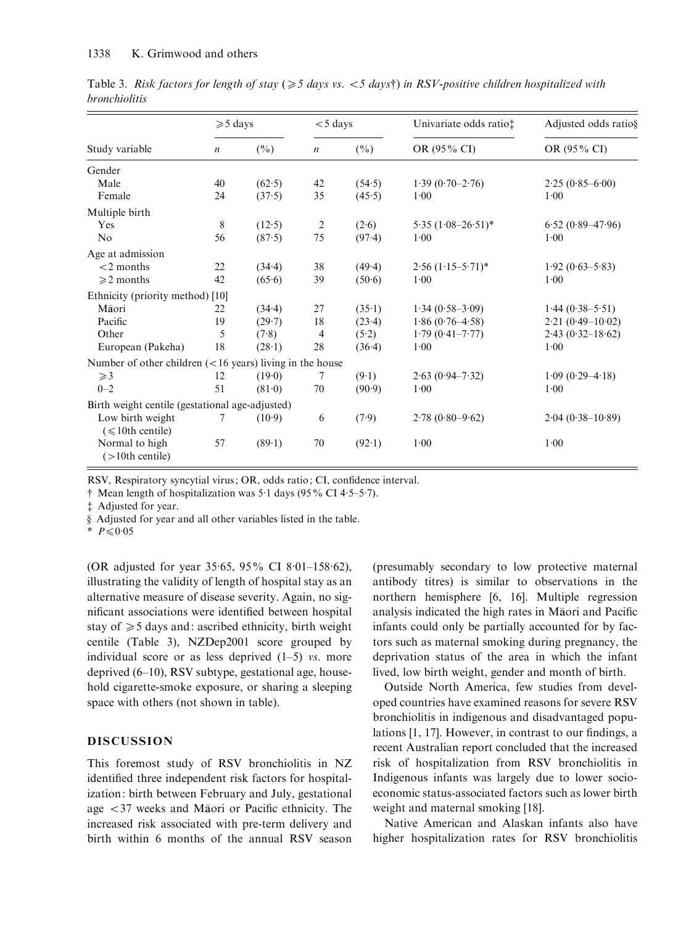|                                                             | $\geqslant$ 5 days |        | $<$ 5 days       |        | Univariate odds ratio‡   | Adjusted odds ratio§ |
|-------------------------------------------------------------|--------------------|--------|------------------|--------|--------------------------|----------------------|
| Study variable                                              | $\boldsymbol{n}$   | $(\%)$ | $\boldsymbol{n}$ | $(\%)$ | OR (95% CI)              | OR (95% CI)          |
| Gender                                                      |                    |        |                  |        |                          |                      |
| Male                                                        | 40                 | (62.5) | 42               | (54.5) | $1.39(0.70-2.76)$        | $2.25(0.85 - 6.00)$  |
| Female                                                      | 24                 | (37.5) | 35               | (45.5) | 1.00                     | 1.00                 |
| Multiple birth                                              |                    |        |                  |        |                          |                      |
| Yes                                                         | 8                  | (12.5) | $\overline{c}$   | (2.6)  | $5.35 (1.08 - 26.51)^*$  | $6.52(0.89 - 47.96)$ |
| No                                                          | 56                 | (87.5) | 75               | (97.4) | 1.00                     | 1.00                 |
| Age at admission                                            |                    |        |                  |        |                          |                      |
| $<$ 2 months                                                | 22                 | (34.4) | 38               | (49.4) | $2.56$ $(1.15 - 5.71)^*$ | $1.92(0.63 - 5.83)$  |
| $\geq 2$ months                                             | 42                 | (65.6) | 39               | (50.6) | 1.00                     | 1.00                 |
| Ethnicity (priority method) [10]                            |                    |        |                  |        |                          |                      |
| Māori                                                       | 22                 | (34.4) | 27               | (35.1) | $1.34(0.58-3.09)$        | $1.44 (0.38 - 5.51)$ |
| Pacific                                                     | 19                 | (29.7) | 18               | (23.4) | $1.86(0.76-4.58)$        | $2.21(0.49-10.02)$   |
| Other                                                       | 5                  | (7.8)  | 4                | (5.2)  | $1.79(0.41 - 7.77)$      | $2.43(0.32 - 18.62)$ |
| European (Pakeha)                                           | 18                 | (28.1) | 28               | (36.4) | 1.00                     | 1.00                 |
| Number of other children $(< 16$ years) living in the house |                    |        |                  |        |                          |                      |
| $\geqslant$ 3                                               | 12                 | (19.0) | 7                | (9.1)  | $2.63(0.94 - 7.32)$      | $1.09$ (0.29-4.18)   |
| $0 - 2$                                                     | 51                 | (81.0) | 70               | (90.9) | 1.00                     | 1.00                 |
| Birth weight centile (gestational age-adjusted)             |                    |        |                  |        |                          |                      |
| Low birth weight                                            | 7                  | (10.9) | 6                | (7.9)  | $2.78(0.80 - 9.62)$      | $2.04(0.38-10.89)$   |
| $(\leq 10$ th centile)                                      |                    |        |                  |        |                          |                      |
| Normal to high                                              | 57                 | (89.1) | 70               | (92.1) | 1.00                     | 1.00                 |
| $($ > 10th centile)                                         |                    |        |                  |        |                          |                      |

Table 3. Risk factors for length of stay ( $\geq 5$  days vs. <5 days†) in RSV-positive children hospitalized with bronchiolitis

RSV, Respiratory syncytial virus; OR, odds ratio; CI, confidence interval.

 $\dagger$  Mean length of hospitalization was 5.1 days (95% CI 4.5–5.7).

 $\ddagger$  Adjusted for year.

§ Adjusted for year and all other variables listed in the table.

\*  $P \leq 0.05$ 

(OR adjusted for year 35. 65, 95% CI 8. 01–158. 62), illustrating the validity of length of hospital stay as an alternative measure of disease severity. Again, no significant associations were identified between hospital stay of  $\geq 5$  days and: ascribed ethnicity, birth weight centile (Table 3), NZDep2001 score grouped by individual score or as less deprived  $(1-5)$  vs. more deprived (6–10), RSV subtype, gestational age, household cigarette-smoke exposure, or sharing a sleeping space with others (not shown in table).

# DISCUSSION

This foremost study of RSV bronchiolitis in NZ identified three independent risk factors for hospitalization: birth between February and July, gestational age  $\langle 37 \rangle$  weeks and Maori or Pacific ethnicity. The increased risk associated with pre-term delivery and birth within 6 months of the annual RSV season (presumably secondary to low protective maternal antibody titres) is similar to observations in the northern hemisphere [6, 16]. Multiple regression analysis indicated the high rates in Maori and Pacific infants could only be partially accounted for by factors such as maternal smoking during pregnancy, the deprivation status of the area in which the infant lived, low birth weight, gender and month of birth.

Outside North America, few studies from developed countries have examined reasons for severe RSV bronchiolitis in indigenous and disadvantaged populations [1, 17]. However, in contrast to our findings, a recent Australian report concluded that the increased risk of hospitalization from RSV bronchiolitis in Indigenous infants was largely due to lower socioeconomic status-associated factors such as lower birth weight and maternal smoking [18].

Native American and Alaskan infants also have higher hospitalization rates for RSV bronchiolitis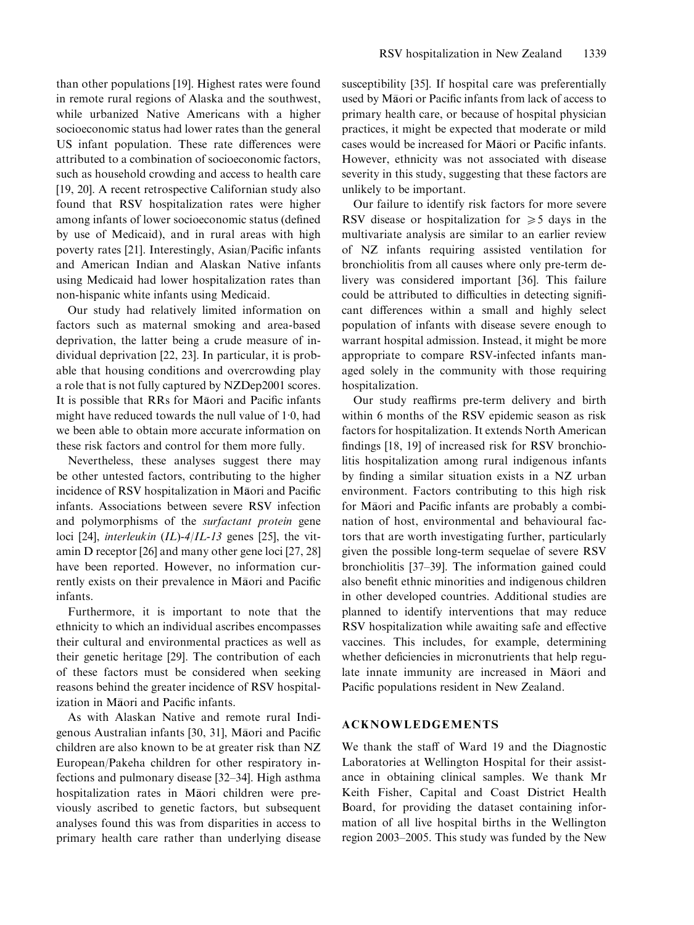than other populations [19]. Highest rates were found in remote rural regions of Alaska and the southwest, while urbanized Native Americans with a higher socioeconomic status had lower rates than the general US infant population. These rate differences were attributed to a combination of socioeconomic factors, such as household crowding and access to health care [19, 20]. A recent retrospective Californian study also found that RSV hospitalization rates were higher among infants of lower socioeconomic status (defined by use of Medicaid), and in rural areas with high poverty rates [21]. Interestingly, Asian/Pacific infants and American Indian and Alaskan Native infants using Medicaid had lower hospitalization rates than non-hispanic white infants using Medicaid.

Our study had relatively limited information on factors such as maternal smoking and area-based deprivation, the latter being a crude measure of individual deprivation [22, 23]. In particular, it is probable that housing conditions and overcrowding play a role that is not fully captured by NZDep2001 scores. It is possible that RRs for Maori and Pacific infants might have reduced towards the null value of 1. 0, had we been able to obtain more accurate information on these risk factors and control for them more fully.

Nevertheless, these analyses suggest there may be other untested factors, contributing to the higher incidence of RSV hospitalization in Māori and Pacific infants. Associations between severe RSV infection and polymorphisms of the surfactant protein gene loci [24], *interleukin* (IL)-4/IL-13 genes [25], the vitamin D receptor [26] and many other gene loci [27, 28] have been reported. However, no information currently exists on their prevalence in Maori and Pacific infants.

Furthermore, it is important to note that the ethnicity to which an individual ascribes encompasses their cultural and environmental practices as well as their genetic heritage [29]. The contribution of each of these factors must be considered when seeking reasons behind the greater incidence of RSV hospitalization in Maori and Pacific infants.

As with Alaskan Native and remote rural Indigenous Australian infants [30, 31], Maori and Pacific children are also known to be at greater risk than NZ European/Pakeha children for other respiratory infections and pulmonary disease [32–34]. High asthma hospitalization rates in Maori children were previously ascribed to genetic factors, but subsequent analyses found this was from disparities in access to primary health care rather than underlying disease

susceptibility [35]. If hospital care was preferentially used by Maori or Pacific infants from lack of access to primary health care, or because of hospital physician practices, it might be expected that moderate or mild cases would be increased for Maori or Pacific infants. However, ethnicity was not associated with disease severity in this study, suggesting that these factors are unlikely to be important.

Our failure to identify risk factors for more severe RSV disease or hospitalization for  $\geq 5$  days in the multivariate analysis are similar to an earlier review of NZ infants requiring assisted ventilation for bronchiolitis from all causes where only pre-term delivery was considered important [36]. This failure could be attributed to difficulties in detecting significant differences within a small and highly select population of infants with disease severe enough to warrant hospital admission. Instead, it might be more appropriate to compare RSV-infected infants managed solely in the community with those requiring hospitalization.

Our study reaffirms pre-term delivery and birth within 6 months of the RSV epidemic season as risk factors for hospitalization. It extends North American findings [18, 19] of increased risk for RSV bronchiolitis hospitalization among rural indigenous infants by finding a similar situation exists in a NZ urban environment. Factors contributing to this high risk for Maori and Pacific infants are probably a combination of host, environmental and behavioural factors that are worth investigating further, particularly given the possible long-term sequelae of severe RSV bronchiolitis [37–39]. The information gained could also benefit ethnic minorities and indigenous children in other developed countries. Additional studies are planned to identify interventions that may reduce RSV hospitalization while awaiting safe and effective vaccines. This includes, for example, determining whether deficiencies in micronutrients that help regulate innate immunity are increased in Maori and Pacific populations resident in New Zealand.

#### ACKNOWLEDGEMENTS

We thank the staff of Ward 19 and the Diagnostic Laboratories at Wellington Hospital for their assistance in obtaining clinical samples. We thank Mr Keith Fisher, Capital and Coast District Health Board, for providing the dataset containing information of all live hospital births in the Wellington region 2003–2005. This study was funded by the New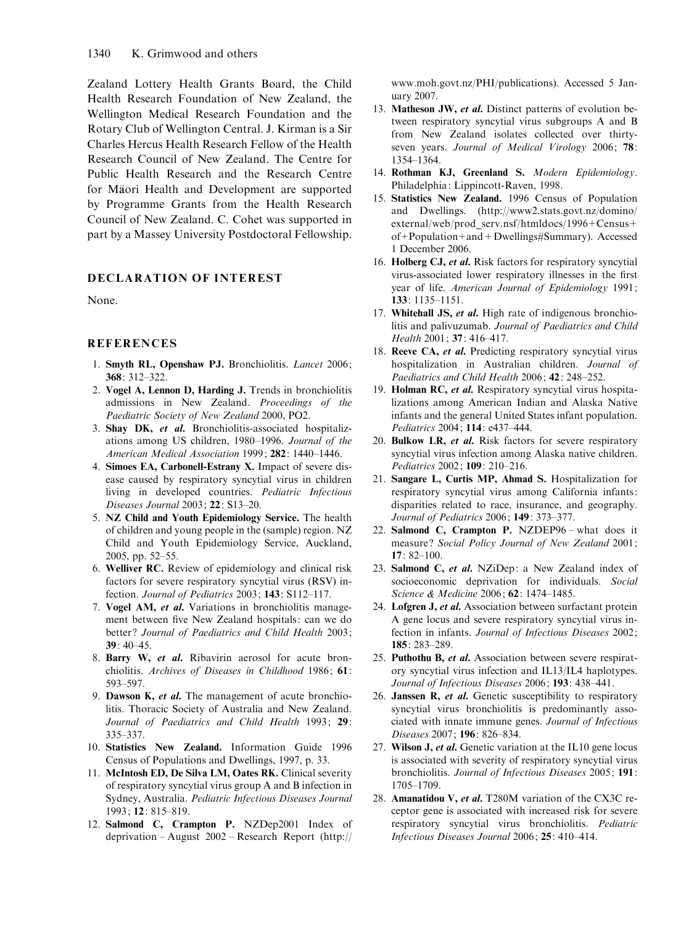Zealand Lottery Health Grants Board, the Child Health Research Foundation of New Zealand, the Wellington Medical Research Foundation and the Rotary Club of Wellington Central. J. Kirman is a Sir Charles Hercus Health Research Fellow of the Health Research Council of New Zealand. The Centre for Public Health Research and the Research Centre for Maori Health and Development are supported by Programme Grants from the Health Research Council of New Zealand. C. Cohet was supported in part by a Massey University Postdoctoral Fellowship.

# DECLARATION OF INTEREST

None.

## REFERENCES

- 1. Smyth RL, Openshaw PJ. Bronchiolitis. Lancet 2006; 368: 312–322.
- 2. Vogel A, Lennon D, Harding J. Trends in bronchiolitis admissions in New Zealand. Proceedings of the Paediatric Society of New Zealand 2000, PO2.
- 3. Shay DK, et al. Bronchiolitis-associated hospitalizations among US children, 1980–1996. Journal of the American Medical Association 1999; 282: 1440-1446.
- 4. Simoes EA, Carbonell-Estrany X. Impact of severe disease caused by respiratory syncytial virus in children living in developed countries. Pediatric Infectious Diseases Journal 2003; 22: S13–20.
- 5. NZ Child and Youth Epidemiology Service. The health of children and young people in the (sample) region. NZ Child and Youth Epidemiology Service, Auckland, 2005, pp. 52–55.
- 6. Welliver RC. Review of epidemiology and clinical risk factors for severe respiratory syncytial virus (RSV) infection. Journal of Pediatrics 2003; 143: S112–117.
- 7. Vogel AM, et al. Variations in bronchiolitis management between five New Zealand hospitals: can we do better? Journal of Paediatrics and Child Health 2003; 39: 40–45.
- 8. Barry W, et al. Ribavirin aerosol for acute bronchiolitis. Archives of Diseases in Childhood 1986; 61: 593–597.
- 9. Dawson K, et al. The management of acute bronchiolitis. Thoracic Society of Australia and New Zealand. Journal of Paediatrics and Child Health 1993; 29: 335–337.
- 10. Statistics New Zealand. Information Guide 1996 Census of Populations and Dwellings, 1997, p. 33.
- 11. McIntosh ED, De Silva LM, Oates RK. Clinical severity of respiratory syncytial virus group A and B infection in Sydney, Australia. Pediatric Infectious Diseases Journal 1993; 12: 815–819.
- 12. Salmond C, Crampton P. NZDep2001 Index of deprivation – August 2002 – Research Report (http://

www.moh.govt.nz/PHI/publications). Accessed 5 January 2007.

- 13. Matheson JW, et al. Distinct patterns of evolution between respiratory syncytial virus subgroups A and B from New Zealand isolates collected over thirtyseven years. Journal of Medical Virology 2006; 78: 1354–1364.
- 14. Rothman KJ, Greenland S. Modern Epidemiology. Philadelphia: Lippincott-Raven, 1998.
- 15. Statistics New Zealand. 1996 Census of Population and Dwellings. (http://www2.stats.govt.nz/domino/ external/web/prod\_serv.nsf/htmldocs/1996+Census+ of+Population+and+Dwellings#Summary). Accessed 1 December 2006.
- 16. Holberg CJ, et al. Risk factors for respiratory syncytial virus-associated lower respiratory illnesses in the first year of life. American Journal of Epidemiology 1991; 133: 1135–1151.
- 17. Whitehall JS, et al. High rate of indigenous bronchiolitis and palivuzumab. Journal of Paediatrics and Child Health 2001; 37: 416–417.
- 18. Reeve CA, et al. Predicting respiratory syncytial virus hospitalization in Australian children. Journal of Paediatrics and Child Health 2006; 42: 248–252.
- 19. Holman RC, et al. Respiratory syncytial virus hospitalizations among American Indian and Alaska Native infants and the general United States infant population. Pediatrics 2004; 114: e437–444.
- 20. Bulkow LR, et al. Risk factors for severe respiratory syncytial virus infection among Alaska native children. Pediatrics 2002; 109: 210–216.
- 21. Sangare L, Curtis MP, Ahmad S. Hospitalization for respiratory syncytial virus among California infants: disparities related to race, insurance, and geography. Journal of Pediatrics 2006; 149: 373–377.
- 22. Salmond C, Crampton P. NZDEP96 what does it measure? Social Policy Journal of New Zealand 2001; 17: 82–100.
- 23. Salmond C, et al. NZiDep: a New Zealand index of socioeconomic deprivation for individuals. Social Science & Medicine 2006; 62: 1474–1485.
- 24. Lofgren J, et al. Association between surfactant protein A gene locus and severe respiratory syncytial virus infection in infants. Journal of Infectious Diseases 2002; 185: 283–289.
- 25. Puthothu B, et al. Association between severe respiratory syncytial virus infection and IL13/IL4 haplotypes. Journal of Infectious Diseases 2006; 193: 438–441.
- 26. Janssen R, et al. Genetic susceptibility to respiratory syncytial virus bronchiolitis is predominantly associated with innate immune genes. Journal of Infectious Diseases 2007; 196: 826–834.
- 27. Wilson J, et al. Genetic variation at the IL10 gene locus is associated with severity of respiratory syncytial virus bronchiolitis. Journal of Infectious Diseases 2005; 191: 1705–1709.
- 28. Amanatidou V, et al. T280M variation of the CX3C receptor gene is associated with increased risk for severe respiratory syncytial virus bronchiolitis. Pediatric Infectious Diseases Journal 2006; 25: 410–414.